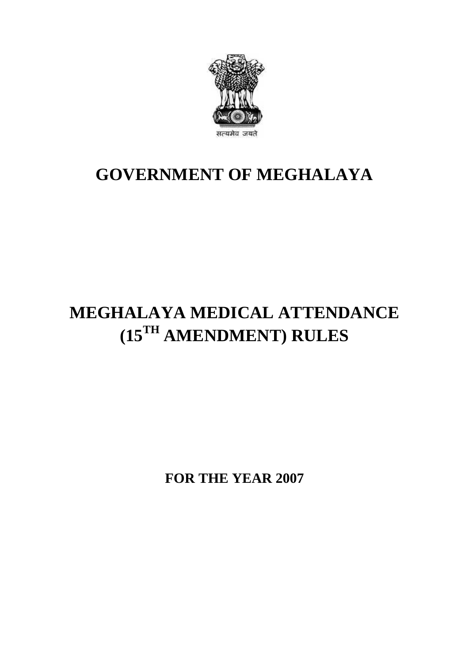

## **GOVERNMENT OF MEGHALAYA**

# **MEGHALAYA MEDICAL ATTENDANCE (15TH AMENDMENT) RULES**

**FOR THE YEAR 2007**